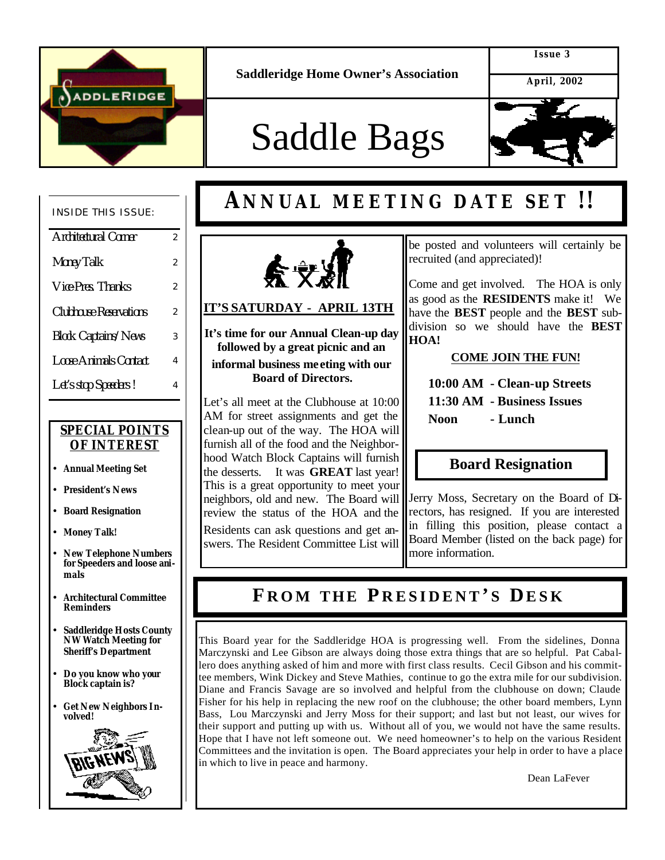

**Saddleridge Home Owner's Association**

**Issue 3**

 **April, 2002**

# Saddle Bags



#### INSIDE THIS ISSUE:

| Architectural Corner          | 2              |
|-------------------------------|----------------|
| <b>Money Talk</b>             | $\overline{2}$ |
| Vice-Pres. Thanks             | $\overline{2}$ |
| <b>Clubhouse Reservations</b> | 2              |
| <b>Block Captains/News</b>    | 3              |
| <b>Loose Animals Contact</b>  | 4              |
| Let's stop Speeders!          | 4              |
|                               |                |

֖֚֚֚֬

#### *SPECIAL POINTS OF INTEREST*

- **Annual Meeting Set**
- **President's News**
- **Board Resignation**
- **Money Talk!**
- **New Telephone Numbers for Speeders and loose animals**
- **Architectural Committee Reminders**
- **Saddleridge Hosts County NW Watch Meeting for Sheriff's Department**
- **Do you know who your Block captain is?**
- **Get New Neighbors Involved!**



# **ANNUAL MEETING DATE SET !!**



#### **IT'S SATURDAY - APRIL 13TH**

**It's time for our Annual Clean-up day followed by a great picnic and an informal business me eting with our Board of Directors.**

Let's all meet at the Clubhouse at 10:00 AM for street assignments and get the clean-up out of the way. The HOA will furnish all of the food and the Neighborhood Watch Block Captains will furnish the desserts. It was **GREAT** last year! This is a great opportunity to meet your neighbors, old and new. The Board will review the status of the HOA and the Residents can ask questions and get answers. The Resident Committee List will

be posted and volunteers will certainly be recruited (and appreciated)!

Come and get involved. The HOA is only as good as the **RESIDENTS** make it! We have the **BEST** people and the **BEST** subdivision so we should have the **BEST HOA!**

#### **COME JOIN THE FUN!**

 **10:00 AM - Clean-up Streets 11:30 AM - Business Issues Noon - Lunch**

### **Board Resignation**

Jerry Moss, Secretary on the Board of Directors, has resigned. If you are interested in filling this position, please contact a Board Member (listed on the back page) for more information.

## **F ROM THE P RESIDENT ' S DESK**

This Board year for the Saddleridge HOA is progressing well. From the sidelines, Donna Marczynski and Lee Gibson are always doing those extra things that are so helpful. Pat Caballero does anything asked of him and more with first class results. Cecil Gibson and his committee members, Wink Dickey and Steve Mathies, continue to go the extra mile for our subdivision. Diane and Francis Savage are so involved and helpful from the clubhouse on down; Claude Fisher for his help in replacing the new roof on the clubhouse; the other board members, Lynn Bass, Lou Marczynski and Jerry Moss for their support; and last but not least, our wives for their support and putting up with us. Without all of you, we would not have the same results. Hope that I have not left someone out. We need homeowner's to help on the various Resident Committees and the invitation is open. The Board appreciates your help in order to have a place in which to live in peace and harmony.

Dean LaFever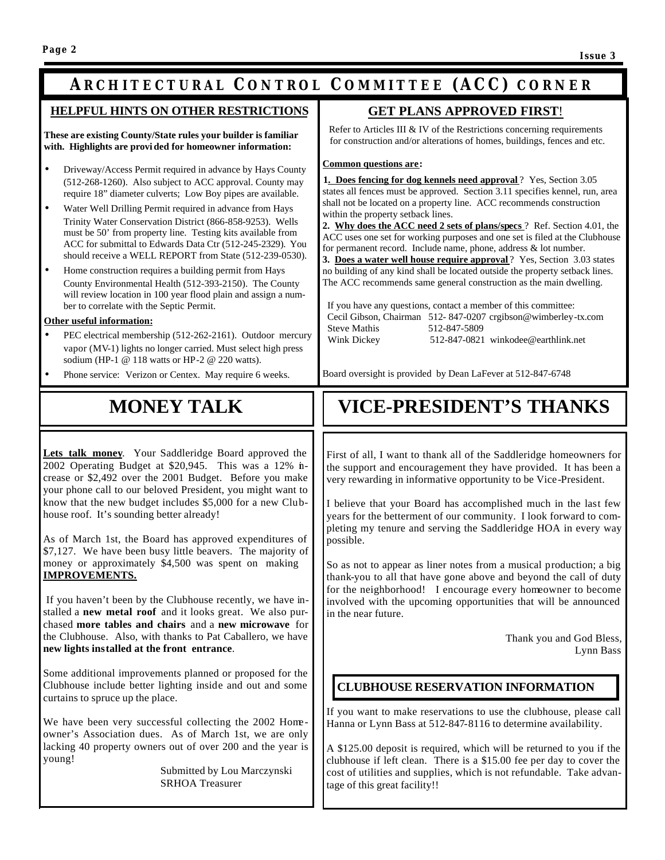### **A RCHITECTURAL C ONTROL C OMMITTEE (ACC) CORNER**

֡֡֡֡֡֡֡

#### **HELPFUL HINTS ON OTHER RESTRICTIONS**

**These are existing County/State rules your builder is familiar with. Highlights are provi ded for homeowner information:**

- Driveway/Access Permit required in advance by Hays County (512-268-1260). Also subject to ACC approval. County may require 18" diameter culverts; Low Boy pipes are available.
- Water Well Drilling Permit required in advance from Hays Trinity Water Conservation District (866-858-9253). Wells must be 50' from property line. Testing kits available from ACC for submittal to Edwards Data Ctr (512-245-2329). You should receive a WELL REPORT from State (512-239-0530).
- Home construction requires a building permit from Hays County Environmental Health (512-393-2150). The County will review location in 100 year flood plain and assign a number to correlate with the Septic Permit.

#### **Other useful information:**

- PEC electrical membership (512-262-2161). Outdoor mercury vapor (MV-1) lights no longer carried. Must select high press sodium (HP-1 @ 118 watts or HP-2 @ 220 watts).
- Phone service: Verizon or Centex. May require 6 weeks.

 **GET PLANS APPROVED FIRST**!

 Refer to Articles III & IV of the Restrictions concerning requirements for construction and/or alterations of homes, buildings, fences and etc.

**Common questions are:** 

| <b>1. Does fencing for dog kennels need approval</b> ? Yes, Section 3.05     |
|------------------------------------------------------------------------------|
| states all fences must be approved. Section 3.11 specifies kennel, run, area |
| shall not be located on a property line. ACC recommends construction         |
| within the property setback lines.                                           |

**2. Why does the ACC need 2 sets of plans/specs** ? Ref. Section 4.01, the ACC uses one set for working purposes and one set is filed at the Clubhouse for permanent record. Include name, phone, address & lot number.

**3. Does a water well house require approval**? Yes, Section 3.03 states no building of any kind shall be located outside the property setback lines. The ACC recommends same general construction as the main dwelling.

 If you have any questions, contact a member of this committee: Cecil Gibson, Chairman 512- 847-0207 crgibson@wimberley-tx.com Steve Mathis 512-847-5809<br>Wink Dickey 512-847-0821 512-847-0821 winkodee@earthlink.net

Board oversight is provided by Dean LaFever at 512-847-6748

### **MONEY TALK**

**Lets talk money**. Your Saddleridge Board approved the 2002 Operating Budget at \$20,945. This was a 12% increase or \$2,492 over the 2001 Budget. Before you make your phone call to our beloved President, you might want to know that the new budget includes \$5,000 for a new Clubhouse roof. It's sounding better already!

As of March 1st, the Board has approved expenditures of \$7,127. We have been busy little beavers. The majority of money or approximately \$4,500 was spent on making **IMPROVEMENTS.** 

 If you haven't been by the Clubhouse recently, we have installed a **new metal roof** and it looks great. We also purchased **more tables and chairs** and a **new microwave** for the Clubhouse. Also, with thanks to Pat Caballero, we have **new lights installed at the front entrance**.

Some additional improvements planned or proposed for the Clubhouse include better lighting inside and out and some curtains to spruce up the place.

We have been very successful collecting the 2002 Homeowner's Association dues. As of March 1st, we are only lacking 40 property owners out of over 200 and the year is young!

> Submitted by Lou Marczynski SRHOA Treasurer

# **VICE-PRESIDENT'S THANKS**

First of all, I want to thank all of the Saddleridge homeowners for the support and encouragement they have provided. It has been a very rewarding in informative opportunity to be Vice-President.

I believe that your Board has accomplished much in the last few years for the betterment of our community. I look forward to completing my tenure and serving the Saddleridge HOA in every way possible.

So as not to appear as liner notes from a musical production; a big thank-you to all that have gone above and beyond the call of duty for the neighborhood! I encourage every homeowner to become involved with the upcoming opportunities that will be announced in the near future.

> Thank you and God Bless, Lynn Bass

#### **CLUBHOUSE RESERVATION INFORMATION**

If you want to make reservations to use the clubhouse, please call Hanna or Lynn Bass at 512-847-8116 to determine availability.

A \$125.00 deposit is required, which will be returned to you if the clubhouse if left clean. There is a \$15.00 fee per day to cover the cost of utilities and supplies, which is not refundable. Take advantage of this great facility!!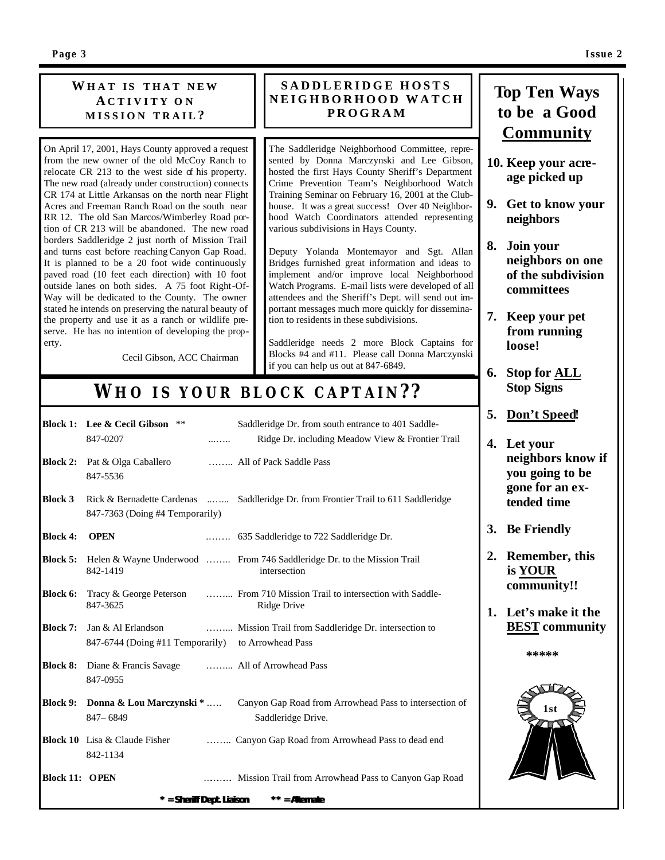#### **W HAT I S THAT NEW A CTIVITY O N MISSION TRAIL ?**

On April 17, 2001, Hays County approved a request from the new owner of the old McCoy Ranch to relocate CR 213 to the west side of his property. The new road (already under construction) connects CR 174 at Little Arkansas on the north near Flight Acres and Freeman Ranch Road on the south near RR 12. The old San Marcos/Wimberley Road portion of CR 213 will be abandoned. The new road borders Saddleridge 2 just north of Mission Trail and turns east before reaching Canyon Gap Road. It is planned to be a 20 foot wide continuously paved road (10 feet each direction) with 10 foot outside lanes on both sides. A 75 foot Right-Of-Way will be dedicated to the County. The owner stated he intends on preserving the natural beauty of the property and use it as a ranch or wildlife preserve. He has no intention of developing the property.

Cecil Gibson, ACC Chairman

#### **SADDLERIDGE HOSTS NEIGHBORHOOD WATCH PROGRAM**

The Saddleridge Neighborhood Committee, represented by Donna Marczynski and Lee Gibson, hosted the first Hays County Sheriff's Department Crime Prevention Team's Neighborhood Watch Training Seminar on February 16, 2001 at the Clubhouse. It was a great success! Over 40 Neighborhood Watch Coordinators attended representing various subdivisions in Hays County.

Deputy Yolanda Montemayor and Sgt. Allan Bridges furnished great information and ideas to implement and/or improve local Neighborhood Watch Programs. E-mail lists were developed of all attendees and the Sheriff's Dept. will send out important messages much more quickly for dissemination to residents in these subdivisions.

Saddleridge needs 2 more Block Captains for Blocks #4 and #11. Please call Donna Marczynski if you can help us out at 847-6849.

### *WHO IS YOUR BLOCK CAPTAIN??*

| <b>Block 3</b><br><b>Block 4:</b><br><b>Block 5:</b><br>Block 6: | 847-7363 (Doing #4 Temporarily)<br><b>OPEN</b><br>Helen & Wayne Underwood  From 746 Saddleridge Dr. to the Mission Trail<br>842-1419 | Rick & Bernadette Cardenas  Saddleridge Dr. from Frontier Trail to 611 Saddleridge          |
|------------------------------------------------------------------|--------------------------------------------------------------------------------------------------------------------------------------|---------------------------------------------------------------------------------------------|
|                                                                  |                                                                                                                                      |                                                                                             |
|                                                                  |                                                                                                                                      |                                                                                             |
|                                                                  |                                                                                                                                      | intersection                                                                                |
|                                                                  | 847-3625                                                                                                                             | Tracy & George Peterson  From 710 Mission Trail to intersection with Saddle-<br>Ridge Drive |
| <b>Block 7:</b>                                                  | Jan & Al Erlandson<br>847-6744 (Doing #11 Temporarily) to Arrowhead Pass                                                             | Mission Trail from Saddleridge Dr. intersection to                                          |
| <b>Block 8:</b>                                                  | Diane & Francis Savage  All of Arrowhead Pass<br>847-0955                                                                            |                                                                                             |
| <b>Block 9:</b>                                                  | Donna & Lou Marczynski *<br>847 - 6849                                                                                               | Canyon Gap Road from Arrowhead Pass to intersection of<br>Saddleridge Drive.                |
|                                                                  | <b>Block 10</b> Lisa & Claude Fisher<br>842-1134                                                                                     | Canyon Gap Road from Arrowhead Pass to dead end                                             |
| <b>Block 11: OPEN</b>                                            |                                                                                                                                      | Mission Trail from Arrowhead Pass to Canyon Gap Road                                        |

### **Top Ten Ways to be a Good Community**

- **10. Keep your acreage picked up**
- **9. Get to know your neighbors**
- **8. Join your neighbors on one of the subdivision committees**
- **7. Keep your pet from running loose!**
- **6. Stop for ALL Stop Signs**
- **5. Don't Speed!**
- **4. Let your neighbors know if you going to be gone for an extended time**
- **3. Be Friendly**
- **2. Remember, this is YOUR community!!**
- **1. Let's make it the BEST community**

 **\*\*\*\*\***